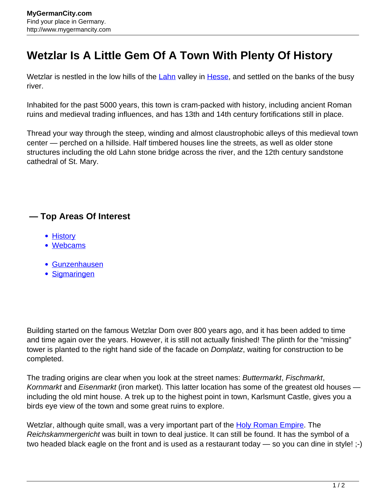## **Wetzlar Is A Little Gem Of A Town With Plenty Of History**

Wetzlar is nestled in the low hills of the [Lahn](http://www.mygermancity.com/lahn-river) valley in [Hesse,](http://www.mygermancity.com/hesse) and settled on the banks of the busy river.

Inhabited for the past 5000 years, this town is cram-packed with history, including ancient Roman ruins and medieval trading influences, and has 13th and 14th century fortifications still in place.

Thread your way through the steep, winding and almost claustrophobic alleys of this medieval town center — perched on a hillside. Half timbered houses line the streets, as well as older stone structures including the old Lahn stone bridge across the river, and the 12th century sandstone cathedral of St. Mary.

## **— Top Areas Of Interest**

- [History](http://www.mygermancity.com/leipzig-history)
- [Webcams](http://www.mygermancity.com/neustadt-holstein-webcams)
- [Gunzenhausen](http://www.mygermancity.com/gunzenhausen)
- [Sigmaringen](http://www.mygermancity.com/sigmaringen)

Building started on the famous Wetzlar Dom over 800 years ago, and it has been added to time and time again over the years. However, it is still not actually finished! The plinth for the "missing" tower is planted to the right hand side of the facade on Domplatz, waiting for construction to be completed.

The trading origins are clear when you look at the street names: Buttermarkt, Fischmarkt, Kornmarkt and Eisenmarkt (iron market). This latter location has some of the greatest old houses including the old mint house. A trek up to the highest point in town, Karlsmunt Castle, gives you a birds eye view of the town and some great ruins to explore.

Wetzlar, although quite small, was a very important part of the **[Holy Roman Empire](http://www.mygermancity.com/holy-roman-empire)**. The Reichskammergericht was built in town to deal justice. It can still be found. It has the symbol of a two headed black eagle on the front and is used as a restaurant today — so you can dine in style! ;-)